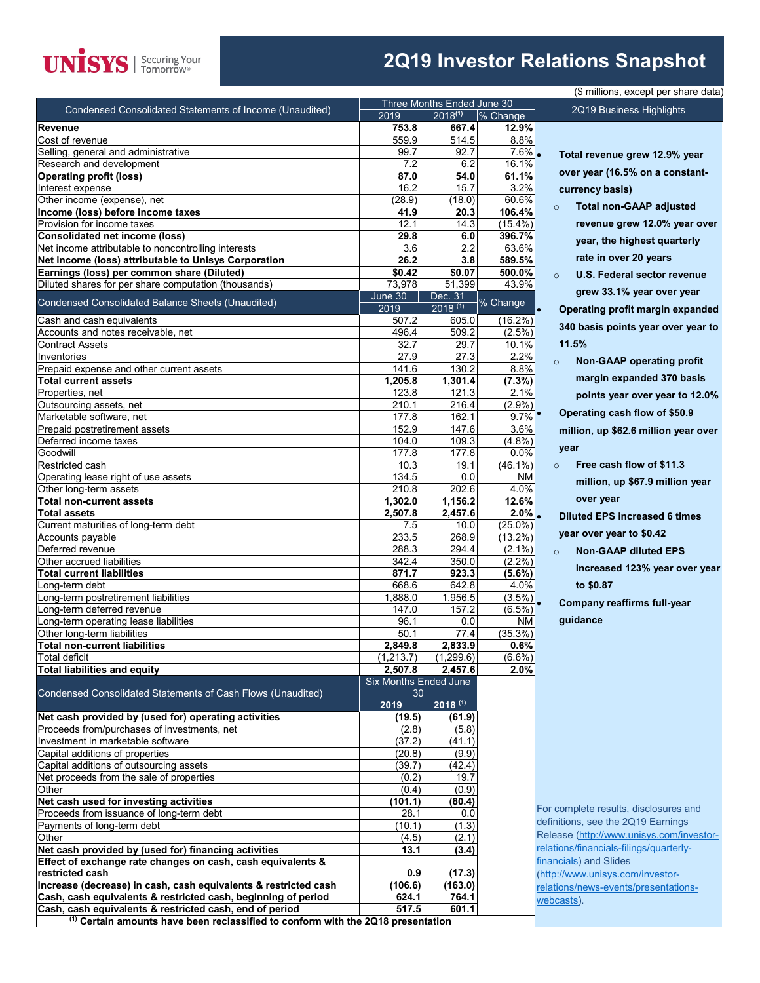

## **2Q19 Investor Relations Snapshot**

 $\overline{data)}$ 

|                                                                                                     |                              |                            |               | (\$ millions, except per share data         |
|-----------------------------------------------------------------------------------------------------|------------------------------|----------------------------|---------------|---------------------------------------------|
| Condensed Consolidated Statements of Income (Unaudited)                                             |                              | Three Months Ended June 30 |               | 2Q19 Business Highlights                    |
|                                                                                                     | 2019                         | $2018^{(1)}$               | % Change      |                                             |
| Revenue<br>Cost of revenue                                                                          | 753.8<br>559.9               | 667.4<br>514.5             | 12.9%<br>8.8% |                                             |
| Selling, general and administrative                                                                 | 99.7                         | 92.7                       | 7.6%.         |                                             |
| Research and development                                                                            | 7.2                          | 6.2                        | 16.1%         | Total revenue grew 12.9% year               |
| <b>Operating profit (loss)</b>                                                                      | 87.0                         | 54.0                       | 61.1%         | over year (16.5% on a constant-             |
| Interest expense                                                                                    | 16.2                         | 15.7                       | 3.2%          | currency basis)                             |
| Other income (expense), net                                                                         | (28.9)                       | (18.0)                     | 60.6%         |                                             |
| Income (loss) before income taxes                                                                   | 41.9                         | 20.3                       | 106.4%        | <b>Total non-GAAP adjusted</b><br>$\circ$   |
| Provision for income taxes                                                                          | 12.1                         | 14.3                       | $(15.4\%)$    | revenue grew 12.0% year over                |
| <b>Consolidated net income (loss)</b>                                                               | 29.8                         | 6.0                        | 396.7%        |                                             |
| Net income attributable to noncontrolling interests                                                 | 3.6                          | 2.2                        | 63.6%         | year, the highest quarterly                 |
| Net income (loss) attributable to Unisys Corporation                                                | 26.2                         | 3.8                        | 589.5%        | rate in over 20 years                       |
| Earnings (loss) per common share (Diluted)                                                          | \$0.42                       | \$0.07                     | 500.0%        | U.S. Federal sector revenue<br>$\circ$      |
| Diluted shares for per share computation (thousands)                                                | 73,978                       | 51,399                     | 43.9%         |                                             |
|                                                                                                     | June 30                      | Dec. 31                    |               | grew 33.1% year over year                   |
| Condensed Consolidated Balance Sheets (Unaudited)                                                   | 2019                         | $2018^{(1)}$               | % Change      | Operating profit margin expanded            |
| Cash and cash equivalents                                                                           | 507.2                        | 605.0                      | $(16.2\%)$    | 340 basis points year over year to          |
| Accounts and notes receivable, net                                                                  | 496.4                        | 509.2                      | $(2.5\%)$     |                                             |
| <b>Contract Assets</b>                                                                              | 32.7                         | 29.7                       | 10.1%         | 11.5%                                       |
| Inventories                                                                                         | 27.9                         | 27.3                       | 2.2%          | <b>Non-GAAP operating profit</b><br>$\circ$ |
| Prepaid expense and other current assets                                                            | 141.6                        | 130.2                      | 8.8%          |                                             |
| <b>Total current assets</b>                                                                         | 1,205.8                      | 1,301.4                    | (7.3%)        | margin expanded 370 basis                   |
| Properties, net                                                                                     | 123.8                        | 121.3                      | 2.1%          | points year over year to 12.0%              |
| Outsourcing assets, net                                                                             | 210.1                        | 216.4                      | (2.9%         | Operating cash flow of \$50.9               |
| Marketable software, net                                                                            | 177.8                        | 162.1                      | 9.7%          |                                             |
| Prepaid postretirement assets                                                                       | 152.9                        | 147.6                      | 3.6%          | million, up \$62.6 million year over        |
| Deferred income taxes                                                                               | 104.0                        | 109.3                      | (4.8%)        | year                                        |
| Goodwill                                                                                            | 177.8                        | 177.8                      | 0.0%          |                                             |
| Restricted cash                                                                                     | 10.3                         | 19.1                       | $(46.1\%)$    | Free cash flow of \$11.3<br>$\circ$         |
| Operating lease right of use assets                                                                 | 134.5                        | 0.0                        | ΝM            | million, up \$67.9 million year             |
| Other long-term assets                                                                              | 210.8                        | 202.6                      | 4.0%          |                                             |
| <b>Total non-current assets</b>                                                                     | 1,302.0                      | 1,156.2                    | 12.6%         | over year                                   |
| <b>Total assets</b>                                                                                 | 2,507.8                      | 2,457.6                    | $2.0\%$ .     | <b>Diluted EPS increased 6 times</b>        |
| Current maturities of long-term debt                                                                | 7.5                          | 10.0                       | $(25.0\%)$    |                                             |
| Accounts payable                                                                                    | 233.5                        | 268.9                      | $(13.2\%)$    | year over year to \$0.42                    |
| Deferred revenue                                                                                    | 288.3                        | 294.4                      | $(2.1\%)$     | <b>Non-GAAP diluted EPS</b><br>$\circ$      |
| Other accrued liabilities                                                                           | 342.4                        | 350.0                      | $(2.2\%)$     | increased 123% year over year               |
| <b>Total current liabilities</b>                                                                    | 871.7                        | 923.3                      | $(5.6\%)$     |                                             |
| Long-term debt                                                                                      | 668.6                        | 642.8                      | 4.0%          | to \$0.87                                   |
| ong-term postretirement liabilities                                                                 | 1,888.0                      | 1,956.5                    | $(3.5\%)$     | <b>Company reaffirms full-year</b>          |
| Long-term deferred revenue                                                                          | 147.0                        | 157.2                      | $(6.5\%)$     |                                             |
| ong-term operating lease liabilities                                                                | 96.1                         | 0.0                        | ΝM            | guidance                                    |
| Other long-term liabilities                                                                         | 50.1                         | 77.4                       | $(35.3\%)$    |                                             |
| <b>Total non-current liabilities</b>                                                                | 2,849.8                      | 2,833.9                    | 0.6%          |                                             |
| Total deficit                                                                                       | (1, 213.7)                   | (1,299.6)                  | $(6.6\%)$     |                                             |
| <b>Total liabilities and equity</b>                                                                 | 2,507.8                      | 2,457.6                    | 2.0%          |                                             |
|                                                                                                     | <b>Six Months Ended June</b> |                            |               |                                             |
| Condensed Consolidated Statements of Cash Flows (Unaudited)                                         | 30<br>2019                   | $2018^{(1)}$               |               |                                             |
|                                                                                                     | (19.5)                       | (61.9)                     |               |                                             |
| Net cash provided by (used for) operating activities<br>Proceeds from/purchases of investments, net | (2.8)                        | (5.8)                      |               |                                             |
|                                                                                                     |                              |                            |               |                                             |
| Investment in marketable software                                                                   | (37.2)                       | (41.1)                     |               |                                             |
| Capital additions of properties                                                                     | (20.8)                       | (9.9)                      |               |                                             |
| Capital additions of outsourcing assets                                                             | (39.7)                       | (42.4)                     |               |                                             |
| Net proceeds from the sale of properties                                                            | (0.2)                        | 19.7                       |               |                                             |
| Other                                                                                               | (0.4)                        | (0.9)                      |               |                                             |
| Net cash used for investing activities                                                              | (101.1)                      | (80.4)                     |               | For complete results, disclosures and       |
| Proceeds from issuance of long-term debt                                                            | 28.1                         | 0.0                        |               | definitions, see the 2Q19 Earnings          |
| Payments of long-term debt                                                                          | (10.1)                       | (1.3)                      |               | Release (http://www.unisys.com/investor-    |
| Other                                                                                               | (4.5)                        | (2.1)                      |               | relations/financials-filings/quarterly-     |
| Net cash provided by (used for) financing activities                                                | 13.1                         | (3.4)                      |               |                                             |
| Effect of exchange rate changes on cash, cash equivalents &                                         |                              |                            |               | financials) and Slides                      |
| restricted cash                                                                                     | 0.9                          | (17.3)                     |               | (http://www.unisys.com/investor-            |
| Increase (decrease) in cash, cash equivalents & restricted cash                                     | (106.6)                      | (163.0)                    |               | relations/news-events/presentations-        |
| Cash, cash equivalents & restricted cash, beginning of period                                       | 624.1                        | 764.1                      |               | webcasts).                                  |
| Cash, cash equivalents & restricted cash, end of period                                             | 517.5                        | 601.1                      |               |                                             |
| <sup>(1)</sup> Certain amounts have been reclassified to conform with the 2Q18 presentation         |                              |                            |               |                                             |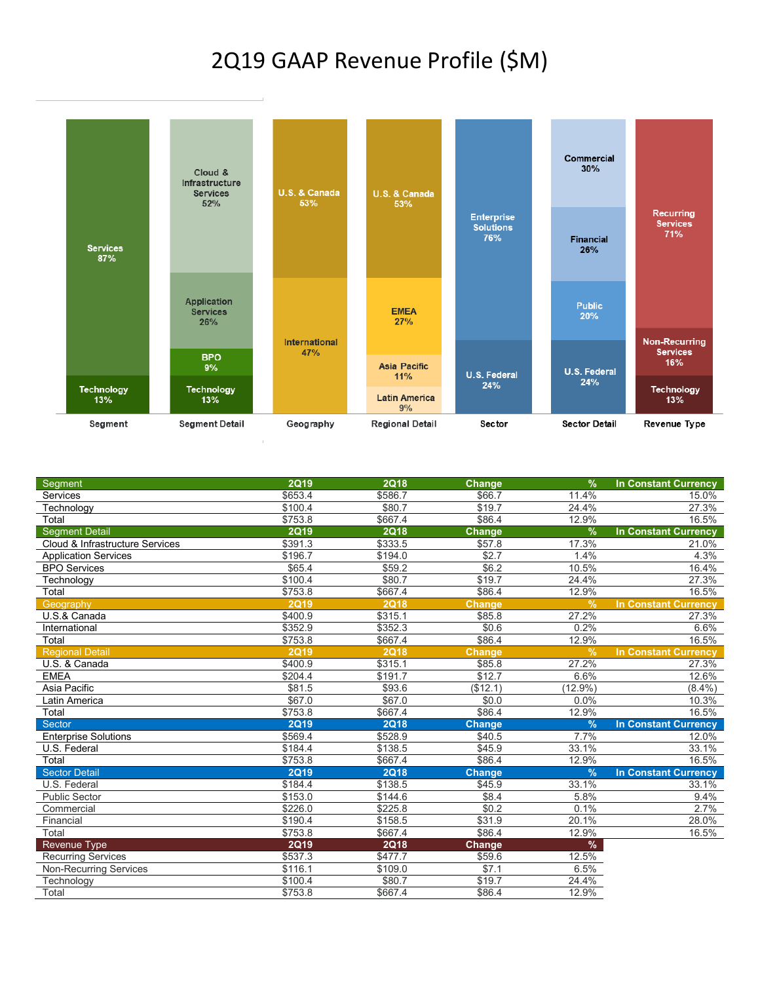## 2Q19 GAAP Revenue Profile (\$M)



| Segment                         | <b>2Q19</b> | <b>2Q18</b> | Change        | $\frac{9}{6}$ | <b>In Constant Currency</b> |
|---------------------------------|-------------|-------------|---------------|---------------|-----------------------------|
| Services                        | \$653.4     | \$586.7     | \$66.7        | 11.4%         | 15.0%                       |
| Technology                      | \$100.4     | \$80.7      | \$19.7        | 24.4%         | 27.3%                       |
| Total                           | \$753.8     | \$667.4     | \$86.4        | 12.9%         | 16.5%                       |
| <b>Segment Detail</b>           | <b>2Q19</b> | <b>2Q18</b> | <b>Change</b> | %             | <b>In Constant Currency</b> |
| Cloud & Infrastructure Services | \$391.3     | \$333.5     | \$57.8        | 17.3%         | 21.0%                       |
| <b>Application Services</b>     | \$196.7     | \$194.0     | \$2.7         | 1.4%          | 4.3%                        |
| <b>BPO Services</b>             | \$65.4      | \$59.2      | \$6.2         | 10.5%         | 16.4%                       |
| Technology                      | \$100.4     | \$80.7      | \$19.7        | 24.4%         | 27.3%                       |
| Total                           | \$753.8     | \$667.4     | \$86.4        | 12.9%         | 16.5%                       |
| Geography                       | <b>2Q19</b> | <b>2Q18</b> | <b>Change</b> | $\frac{9}{6}$ | <b>In Constant Currency</b> |
| U.S.& Canada                    | \$400.9     | \$315.1     | \$85.8        | 27.2%         | 27.3%                       |
| International                   | \$352.9     | \$352.3     | \$0.6         | 0.2%          | 6.6%                        |
| Total                           | \$753.8     | \$667.4     | \$86.4        | 12.9%         | 16.5%                       |
| <b>Regional Detail</b>          | <b>2Q19</b> | 2Q18        | <b>Change</b> | $\frac{9}{6}$ | <b>In Constant Currency</b> |
| U.S. & Canada                   | \$400.9     | \$315.1     | \$85.8        | 27.2%         | 27.3%                       |
| <b>EMEA</b>                     | \$204.4     | \$191.7     | \$12.7        | 6.6%          | 12.6%                       |
| Asia Pacific                    | \$81.5      | \$93.6      | (\$12.1)      | $(12.9\%)$    | $(8.4\%)$                   |
| Latin America                   | \$67.0      | \$67.0      | \$0.0         | 0.0%          | 10.3%                       |
| Total                           | \$753.8     | \$667.4     | \$86.4        | 12.9%         | 16.5%                       |
| <b>Sector</b>                   | <b>2Q19</b> | <b>2Q18</b> | <b>Change</b> | $\frac{9}{6}$ | <b>In Constant Currency</b> |
| <b>Enterprise Solutions</b>     | \$569.4     | \$528.9     | \$40.5        | 7.7%          | 12.0%                       |
| U.S. Federal                    | \$184.4     | \$138.5     | \$45.9        | 33.1%         | 33.1%                       |
| Total                           | \$753.8     | \$667.4     | \$86.4        | 12.9%         | 16.5%                       |
| <b>Sector Detail</b>            | <b>2Q19</b> | <b>2Q18</b> | <b>Change</b> | $\frac{9}{6}$ | <b>In Constant Currency</b> |
| U.S. Federal                    | \$184.4     | \$138.5     | \$45.9        | 33.1%         | 33.1%                       |
| <b>Public Sector</b>            | \$153.0     | \$144.6     | \$8.4         | 5.8%          | 9.4%                        |
| Commercial                      | \$226.0     | \$225.8     | \$0.2         | 0.1%          | 2.7%                        |
| Financial                       | \$190.4     | \$158.5     | \$31.9        | 20.1%         | 28.0%                       |
| Total                           | \$753.8     | \$667.4     | \$86.4        | 12.9%         | 16.5%                       |
| Revenue Type                    | <b>2Q19</b> | <b>2Q18</b> | Change        | $\%$          |                             |
| <b>Recurring Services</b>       | \$537.3     | \$477.7     | \$59.6        | 12.5%         |                             |
| <b>Non-Recurring Services</b>   | \$116.1     | \$109.0     | \$7.1         | 6.5%          |                             |
| Technology                      | \$100.4     | \$80.7      | \$19.7        | 24.4%         |                             |
| Total                           | \$753.8     | \$667.4     | \$86.4        | 12.9%         |                             |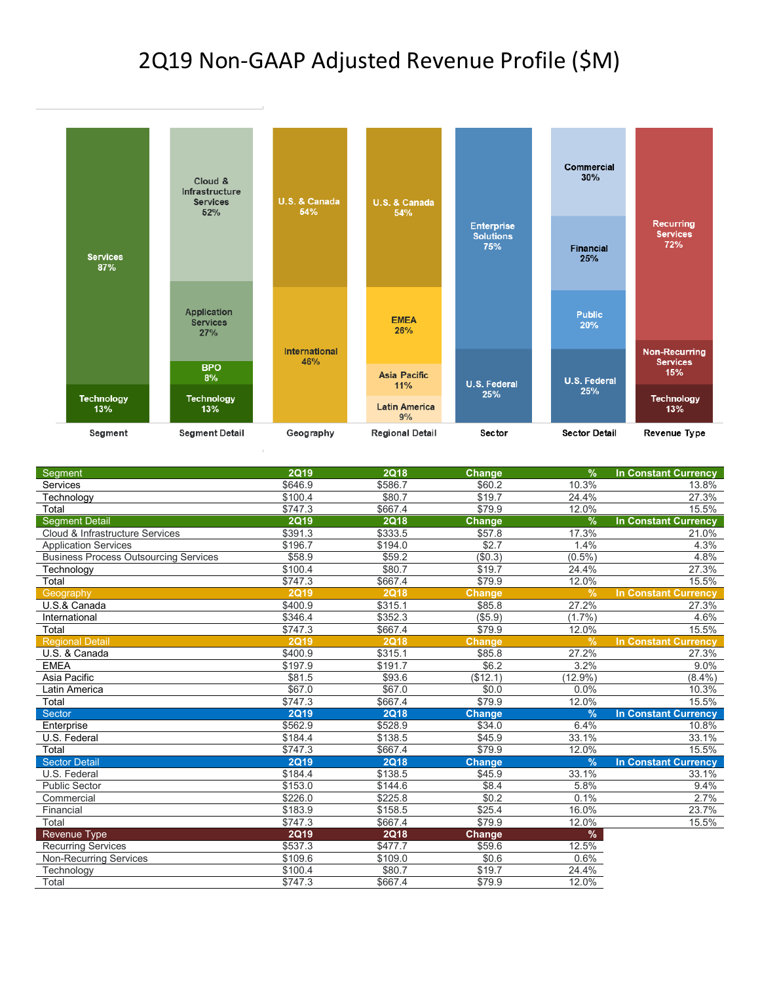## 2Q19 Non-GAAP Adjusted Revenue Profile (\$M)



| Segment                                      | <b>2Q19</b> | <b>2Q18</b> | <b>Change</b> | $\frac{9}{6}$ | <b>In Constant Currency</b> |
|----------------------------------------------|-------------|-------------|---------------|---------------|-----------------------------|
| Services                                     | \$646.9     | \$586.7     | \$60.2        | 10.3%         | 13.8%                       |
| Technology                                   | \$100.4     | \$80.7      | \$19.7        | 24.4%         | 27.3%                       |
| Total                                        | \$747.3     | \$667.4     | \$79.9        | 12.0%         | 15.5%                       |
| <b>Seament Detail</b>                        | <b>2Q19</b> | <b>2Q18</b> | <b>Change</b> | $\frac{9}{6}$ | <b>In Constant Currency</b> |
| Cloud & Infrastructure Services              | \$391.3     | \$333.5     | \$57.8        | 17.3%         | 21.0%                       |
| <b>Application Services</b>                  | \$196.7     | \$194.0     | \$2.7         | 1.4%          | 4.3%                        |
| <b>Business Process Outsourcing Services</b> | \$58.9      | \$59.2      | (\$0.3)       | $(0.5\%)$     | 4.8%                        |
| Technology                                   | \$100.4     | \$80.7      | \$19.7        | 24.4%         | 27.3%                       |
| Total                                        | \$747.3     | \$667.4     | \$79.9        | 12.0%         | 15.5%                       |
| Geography                                    | <b>2Q19</b> | <b>2Q18</b> | <b>Change</b> | $\frac{9}{6}$ | <b>In Constant Currency</b> |
| U.S.& Canada                                 | \$400.9     | \$315.1     | \$85.8        | 27.2%         | 27.3%                       |
| International                                | \$346.4     | \$352.3     | ( \$5.9)      | (1.7%         | 4.6%                        |
| Total                                        | \$747.3     | \$667.4     | \$79.9        | 12.0%         | 15.5%                       |
| <b>Regional Detail</b>                       | <b>2Q19</b> | 2Q18        | <b>Change</b> | $\frac{9}{6}$ | <b>In Constant Currency</b> |
| U.S. & Canada                                | \$400.9     | \$315.1     | \$85.8        | 27.2%         | 27.3%                       |
| <b>EMEA</b>                                  | \$197.9     | \$191.7     | \$6.2         | 3.2%          | 9.0%                        |
| Asia Pacific                                 | \$81.5      | \$93.6      | (\$12.1)      | (12.9%        | $(8.4\%)$                   |
| Latin America                                | \$67.0      | \$67.0      | \$0.0         | 0.0%          | 10.3%                       |
| Total                                        | \$747.3     | \$667.4     | \$79.9        | 12.0%         | 15.5%                       |
| Sector                                       | <b>2Q19</b> | <b>2Q18</b> | <b>Change</b> | $\frac{9}{6}$ | <b>In Constant Currency</b> |
| Enterprise                                   | \$562.9     | \$528.9     | \$34.0        | 6.4%          | 10.8%                       |
| U.S. Federal                                 | \$184.4     | \$138.5     | \$45.9        | 33.1%         | 33.1%                       |
| Total                                        | \$747.3     | \$667.4     | \$79.9        | 12.0%         | 15.5%                       |
| <b>Sector Detail</b>                         | <b>2Q19</b> | <b>2Q18</b> | <b>Change</b> | $\frac{9}{6}$ | <b>In Constant Currency</b> |
| U.S. Federal                                 | \$184.4     | \$138.5     | \$45.9        | 33.1%         | 33.1%                       |
| <b>Public Sector</b>                         | \$153.0     | \$144.6     | \$8.4         | 5.8%          | 9.4%                        |
| Commercial                                   | \$226.0     | \$225.8     | \$0.2         | 0.1%          | 2.7%                        |
| Financial                                    | \$183.9     | \$158.5     | \$25.4        | 16.0%         | 23.7%                       |
| Total                                        | \$747.3     | \$667.4     | \$79.9        | 12.0%         | 15.5%                       |
| Revenue Type                                 | <b>2Q19</b> | <b>2Q18</b> | Change        | %             |                             |
| <b>Recurring Services</b>                    | \$537.3     | \$477.7     | \$59.6        | 12.5%         |                             |
| <b>Non-Recurring Services</b>                | \$109.6     | \$109.0     | \$0.6         | 0.6%          |                             |
| Technology                                   | \$100.4     | \$80.7      | \$19.7        | 24.4%         |                             |
| Total                                        | \$747.3     | \$667.4     | \$79.9        | 12.0%         |                             |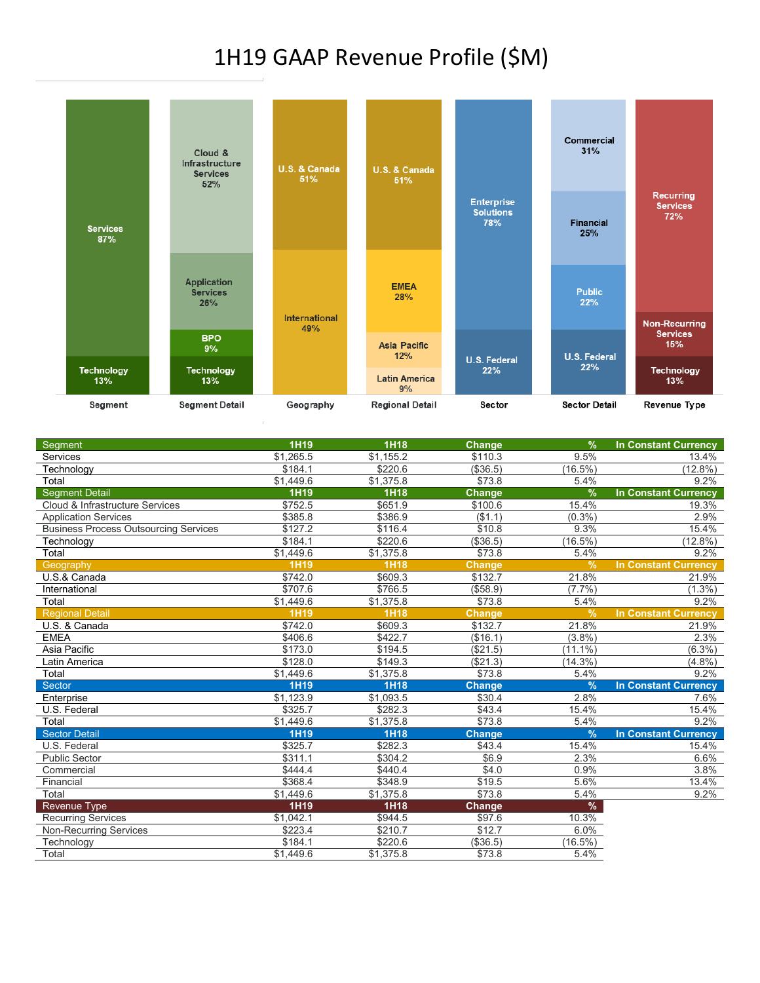# 1H19 GAAP Revenue Profile (\$M)



| Segment                                      | 1H19        | <b>1H18</b> | <b>Change</b> | $\%$          | <b>In Constant Currency</b> |
|----------------------------------------------|-------------|-------------|---------------|---------------|-----------------------------|
| Services                                     | \$1,265.5   | \$1,155.2   | \$110.3       | 9.5%          | 13.4%                       |
| Technology                                   | \$184.1     | \$220.6     | (\$36.5)      | $(16.5\%)$    | (12.8%)                     |
| Total                                        | \$1,449.6   | \$1,375.8   | \$73.8        | 5.4%          | 9.2%                        |
| <b>Segment Detail</b>                        | 1H19        | <b>1H18</b> | Change        | $\frac{9}{6}$ | <b>In Constant Currency</b> |
| Cloud & Infrastructure Services              | \$752.5     | \$651.9     | \$100.6       | 15.4%         | 19.3%                       |
| <b>Application Services</b>                  | \$385.8     | \$386.9     | (\$1.1)       | (0.3%         | 2.9%                        |
| <b>Business Process Outsourcing Services</b> | \$127.2     | \$116.4     | \$10.8        | 9.3%          | 15.4%                       |
| Technology                                   | \$184.1     | \$220.6     | (\$36.5)      | $(16.5\%)$    | $(12.8\%)$                  |
| Total                                        | \$1,449.6   | \$1,375.8   | \$73.8        | 5.4%          | 9.2%                        |
| Geography                                    | 1H19        | <b>1H18</b> | Change        | $\frac{9}{6}$ | <b>In Constant Currency</b> |
| $\overline{U.S.}$ & Canada                   | \$742.0     | \$609.3     | \$132.7       | 21.8%         | 21.9%                       |
| International                                | \$707.6     | \$766.5     | (\$58.9)      | (7.7%         | $(1.3\%)$                   |
| Total                                        | \$1,449.6   | \$1,375.8   | \$73.8        | 5.4%          | 9.2%                        |
| <b>Regional Detail</b>                       | <b>1H19</b> | <b>1H18</b> | <b>Change</b> | $\frac{9}{6}$ | <b>In Constant Currency</b> |
| U.S. & Canada                                | \$742.0     | \$609.3     | \$132.7       | 21.8%         | 21.9%                       |
| <b>EMEA</b>                                  | \$406.6     | \$422.7     | (\$16.1)      | (3.8%)        | 2.3%                        |
| Asia Pacific                                 | \$173.0     | \$194.5     | (\$21.5)      | $(11.1\%)$    | $(6.3\%)$                   |
| Latin America                                | \$128.0     | \$149.3     | (\$21.3)      | $(14.3\%)$    | $(4.8\sqrt{6})$             |
| Total                                        | \$1,449.6   | \$1,375.8   | \$73.8        | 5.4%          | 9.2%                        |
| Sector                                       | <b>1H19</b> | <b>1H18</b> | Change        | %             | <b>In Constant Currency</b> |
| Enterprise                                   | \$1,123.9   | \$1,093.5   | \$30.4        | 2.8%          | 7.6%                        |
| U.S. Federal                                 | \$325.7     | \$282.3     | \$43.4        | 15.4%         | 15.4%                       |
| Total                                        | \$1,449.6   | \$1,375.8   | \$73.8        | 5.4%          | 9.2%                        |
| <b>Sector Detail</b>                         | <b>1H19</b> | <b>1H18</b> | <b>Change</b> | $\frac{9}{6}$ | <b>In Constant Currency</b> |
| U.S. Federal                                 | \$325.7     | \$282.3     | \$43.4        | 15.4%         | 15.4%                       |
| <b>Public Sector</b>                         | \$311.1     | \$304.2     | \$6.9         | 2.3%          | 6.6%                        |
| Commercial                                   | \$444.4     | \$440.4     | \$4.0         | 0.9%          | 3.8%                        |
| Financial                                    | \$368.4     | \$348.9     | \$19.5        | 5.6%          | 13.4%                       |
| Total                                        | \$1,449.6   | \$1,375.8   | \$73.8        | 5.4%          | 9.2%                        |
| <b>Revenue Type</b>                          | 1H19        | 1H18        | Change        | $\%$          |                             |
| <b>Recurring Services</b>                    | \$1,042.1   | \$944.5     | \$97.6        | 10.3%         |                             |
| <b>Non-Recurring Services</b>                | \$223.4     | \$210.7     | \$12.7        | 6.0%          |                             |
| Technology                                   | \$184.1     | \$220.6     | (\$36.5)      | $(16.5\%)$    |                             |
| Total                                        | \$1,449.6   | \$1,375.8   | \$73.8        | 5.4%          |                             |